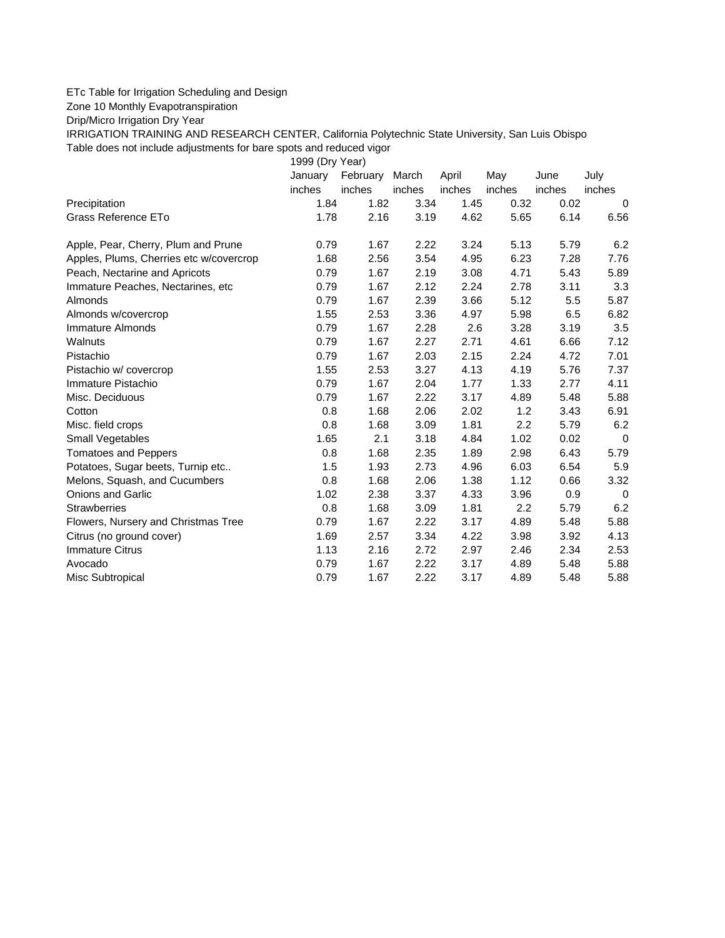## ETc Table for Irrigation Scheduling and Design

Zone 10 Monthly Evapotranspiration

Drip/Micro Irrigation Dry Year

IRRIGATION TRAINING AND RESEARCH CENTER, California Polytechnic State University, San Luis Obispo Table does not include adjustments for bare spots and reduced vigor

1999 (Dry Year)

|                                         | January | February | March  | April  | May    | June   | July        |
|-----------------------------------------|---------|----------|--------|--------|--------|--------|-------------|
|                                         | inches  | inches   | inches | inches | inches | inches | inches      |
| Precipitation                           | 1.84    | 1.82     | 3.34   | 1.45   | 0.32   | 0.02   | 0           |
| Grass Reference ETo                     | 1.78    | 2.16     | 3.19   | 4.62   | 5.65   | 6.14   | 6.56        |
| Apple, Pear, Cherry, Plum and Prune     | 0.79    | 1.67     | 2.22   | 3.24   | 5.13   | 5.79   | 6.2         |
| Apples, Plums, Cherries etc w/covercrop | 1.68    | 2.56     | 3.54   | 4.95   | 6.23   | 7.28   | 7.76        |
| Peach, Nectarine and Apricots           | 0.79    | 1.67     | 2.19   | 3.08   | 4.71   | 5.43   | 5.89        |
| Immature Peaches, Nectarines, etc       | 0.79    | 1.67     | 2.12   | 2.24   | 2.78   | 3.11   | 3.3         |
| Almonds                                 | 0.79    | 1.67     | 2.39   | 3.66   | 5.12   | 5.5    | 5.87        |
| Almonds w/covercrop                     | 1.55    | 2.53     | 3.36   | 4.97   | 5.98   | 6.5    | 6.82        |
| Immature Almonds                        | 0.79    | 1.67     | 2.28   | 2.6    | 3.28   | 3.19   | 3.5         |
| Walnuts                                 | 0.79    | 1.67     | 2.27   | 2.71   | 4.61   | 6.66   | 7.12        |
| Pistachio                               | 0.79    | 1.67     | 2.03   | 2.15   | 2.24   | 4.72   | 7.01        |
| Pistachio w/ covercrop                  | 1.55    | 2.53     | 3.27   | 4.13   | 4.19   | 5.76   | 7.37        |
| Immature Pistachio                      | 0.79    | 1.67     | 2.04   | 1.77   | 1.33   | 2.77   | 4.11        |
| Misc. Deciduous                         | 0.79    | 1.67     | 2.22   | 3.17   | 4.89   | 5.48   | 5.88        |
| Cotton                                  | 0.8     | 1.68     | 2.06   | 2.02   | 1.2    | 3.43   | 6.91        |
| Misc. field crops                       | 0.8     | 1.68     | 3.09   | 1.81   | 2.2    | 5.79   | 6.2         |
| Small Vegetables                        | 1.65    | 2.1      | 3.18   | 4.84   | 1.02   | 0.02   | $\mathbf 0$ |
| <b>Tomatoes and Peppers</b>             | 0.8     | 1.68     | 2.35   | 1.89   | 2.98   | 6.43   | 5.79        |
| Potatoes, Sugar beets, Turnip etc       | 1.5     | 1.93     | 2.73   | 4.96   | 6.03   | 6.54   | 5.9         |
| Melons, Squash, and Cucumbers           | 0.8     | 1.68     | 2.06   | 1.38   | 1.12   | 0.66   | 3.32        |
| <b>Onions and Garlic</b>                | 1.02    | 2.38     | 3.37   | 4.33   | 3.96   | 0.9    | $\mathbf 0$ |
| <b>Strawberries</b>                     | 0.8     | 1.68     | 3.09   | 1.81   | 2.2    | 5.79   | 6.2         |
| Flowers, Nursery and Christmas Tree     | 0.79    | 1.67     | 2.22   | 3.17   | 4.89   | 5.48   | 5.88        |
| Citrus (no ground cover)                | 1.69    | 2.57     | 3.34   | 4.22   | 3.98   | 3.92   | 4.13        |
| <b>Immature Citrus</b>                  | 1.13    | 2.16     | 2.72   | 2.97   | 2.46   | 2.34   | 2.53        |
| Avocado                                 | 0.79    | 1.67     | 2.22   | 3.17   | 4.89   | 5.48   | 5.88        |
| Misc Subtropical                        | 0.79    | 1.67     | 2.22   | 3.17   | 4.89   | 5.48   | 5.88        |